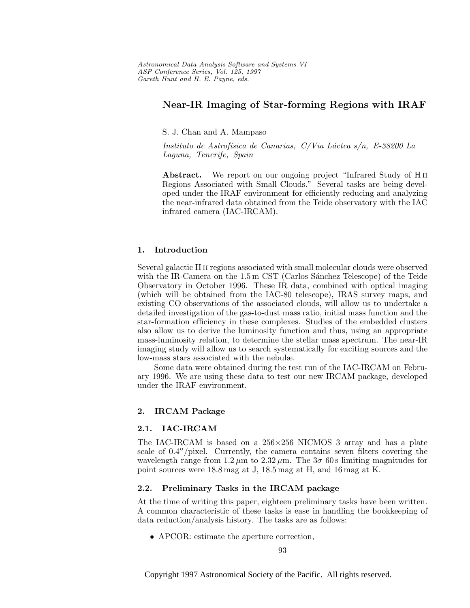# **Near-IR Imaging of Star-forming Regions with IRAF**

## S. J. Chan and A. Mampaso

Instituto de Astrofísica de Canarias, C/Via Láctea s/n, E-38200 La Laguna, Tenerife, Spain

**Abstract.** We report on our ongoing project "Infrared Study of H ii Regions Associated with Small Clouds." Several tasks are being developed under the IRAF environment for efficiently reducing and analyzing the near-infrared data obtained from the Teide observatory with the IAC infrared camera (IAC-IRCAM).

## **1. Introduction**

Several galactic H ii regions associated with small molecular clouds were observed with the IR-Camera on the  $1.5 \text{ m}$  CST (Carlos Sánchez Telescope) of the Teide Observatory in October 1996. These IR data, combined with optical imaging (which will be obtained from the IAC-80 telescope), IRAS survey maps, and existing CO observations of the associated clouds, will allow us to undertake a detailed investigation of the gas-to-dust mass ratio, initial mass function and the star-formation efficiency in these complexes. Studies of the embedded clusters also allow us to derive the luminosity function and thus, using an appropriate mass-luminosity relation, to determine the stellar mass spectrum. The near-IR imaging study will allow us to search systematically for exciting sources and the low-mass stars associated with the nebulæ.

Some data were obtained during the test run of the IAC-IRCAM on February 1996. We are using these data to test our new IRCAM package, developed under the IRAF environment.

#### **2. IRCAM Package**

## **2.1. IAC-IRCAM**

The IAC-IRCAM is based on a 256×256 NICMOS 3 array and has a plate scale of  $0.4''/\text{pixel}$ . Currently, the camera contains seven filters covering the wavelength range from  $1.2 \mu m$  to  $2.32 \mu m$ . The  $3\sigma$  60 s limiting magnitudes for point sources were 18.8 mag at J, 18.5 mag at H, and 16 mag at K.

#### **2.2. Preliminary Tasks in the IRCAM package**

At the time of writing this paper, eighteen preliminary tasks have been written. A common characteristic of these tasks is ease in handling the bookkeeping of data reduction/analysis history. The tasks are as follows:

• APCOR: estimate the aperture correction,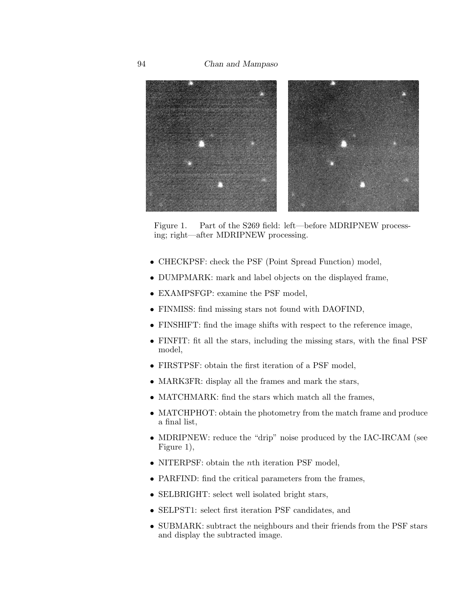94 *Chan and Mampaso*



Figure 1. Part of the S269 field: left—before MDRIPNEW processing; right—after MDRIPNEW processing.

- CHECKPSF: check the PSF (Point Spread Function) model,
- DUMPMARK: mark and label objects on the displayed frame,
- EXAMPSFGP: examine the PSF model,
- FINMISS: find missing stars not found with DAOFIND,
- FINSHIFT: find the image shifts with respect to the reference image,
- FINFIT: fit all the stars, including the missing stars, with the final PSF model,
- FIRSTPSF: obtain the first iteration of a PSF model,
- MARK3FR: display all the frames and mark the stars,
- MATCHMARK: find the stars which match all the frames,
- MATCHPHOT: obtain the photometry from the match frame and produce a final list,
- MDRIPNEW: reduce the "drip" noise produced by the IAC-IRCAM (see Figure 1),
- NITERPSF: obtain the *n*th iteration PSF model,
- PARFIND: find the critical parameters from the frames,
- SELBRIGHT: select well isolated bright stars,
- SELPST1: select first iteration PSF candidates, and
- SUBMARK: subtract the neighbours and their friends from the PSF stars and display the subtracted image.